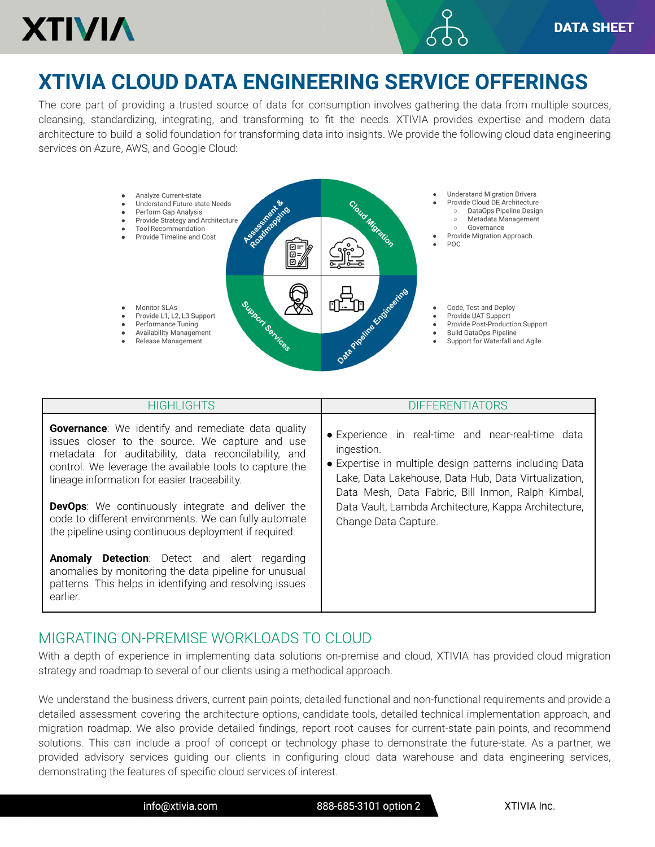

## **XTIVIA CLOUD DATA ENGINEERING SERVICE OFFERINGS**

The core part of providing a trusted source of data for consumption involves gathering the data from multiple sources, cleansing, standardizing, integrating, and transforming to fit the needs. XTIVIA provides expertise and modern data architecture to build a solid foundation for transforming data into insights. We provide the following cloud data engineering services on Azure, AWS, and Google Cloud:



| HIGHI IGHTS                                                                                                                                                                                                                                                                                                                                                                                                                                                   | <b>DIFFERENTIATORS</b>                                                                                                                                                                                                                                                                                                 |
|---------------------------------------------------------------------------------------------------------------------------------------------------------------------------------------------------------------------------------------------------------------------------------------------------------------------------------------------------------------------------------------------------------------------------------------------------------------|------------------------------------------------------------------------------------------------------------------------------------------------------------------------------------------------------------------------------------------------------------------------------------------------------------------------|
| <b>Governance:</b> We identify and remediate data quality<br>issues closer to the source. We capture and use<br>metadata for auditability, data reconcilability, and<br>control. We leverage the available tools to capture the<br>lineage information for easier traceability.<br><b>DevOps:</b> We continuously integrate and deliver the<br>code to different environments. We can fully automate<br>the pipeline using continuous deployment if required. | · Experience in real-time and near-real-time data<br>ingestion.<br>• Expertise in multiple design patterns including Data<br>Lake, Data Lakehouse, Data Hub, Data Virtualization,<br>Data Mesh, Data Fabric, Bill Inmon, Ralph Kimbal,<br>Data Vault, Lambda Architecture, Kappa Architecture,<br>Change Data Capture. |
| Anomaly Detection: Detect and alert regarding<br>anomalies by monitoring the data pipeline for unusual<br>patterns. This helps in identifying and resolving issues<br>earlier.                                                                                                                                                                                                                                                                                |                                                                                                                                                                                                                                                                                                                        |

## MIGRATING ON-PREMISE WORKLOADS TO CLOUD

With a depth of experience in implementing data solutions on-premise and cloud, XTIVIA has provided cloud migration strategy and roadmap to several of our clients using a methodical approach.

We understand the business drivers, current pain points, detailed functional and non-functional requirements and provide a detailed assessment covering the architecture options, candidate tools, detailed technical implementation approach, and migration roadmap. We also provide detailed findings, report root causes for current-state pain points, and recommend solutions. This can include a proof of concept or technology phase to demonstrate the future-state. As a partner, we provided advisory services guiding our clients in configuring cloud data warehouse and data engineering services, demonstrating the features of specific cloud services of interest.